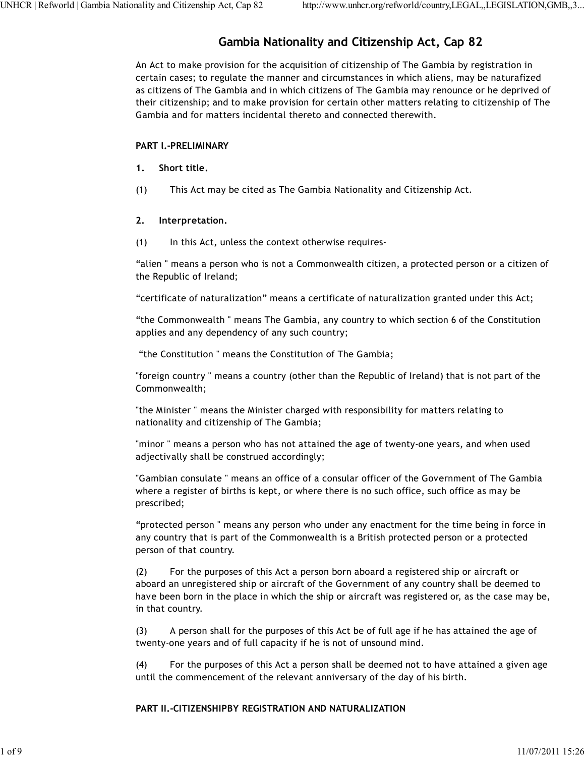# **Gambia Nationality and Citizenship Act, Cap 82**

An Act to make provision for the acquisition of citizenship of The Gambia by registration in certain cases; to regulate the manner and circumstances in which aliens, may be naturafized as citizens of The Gambia and in which citizens of The Gambia may renounce or he deprived of their citizenship; and to make provision for certain other matters relating to citizenship of The Gambia and for matters incidental thereto and connected therewith.

### **PART l.-PRELIMINARY**

- **1. Short title.**
- (1) This Act may be cited as The Gambia Nationality and Citizenship Act.

# **2. Interpretation.**

(1) In this Act, unless the context otherwise requires-

"alien " means a person who is not a Commonwealth citizen, a protected person or a citizen of the Republic of Ireland;

"certificate of naturalization" means a certificate of naturalization granted under this Act;

"the Commonwealth " means The Gambia, any country to which section 6 of the Constitution applies and any dependency of any such country;

"the Constitution " means the Constitution of The Gambia;

"foreign country " means a country (other than the Republic of Ireland) that is not part of the Commonwealth;

"the Minister " means the Minister charged with responsibility for matters relating to nationality and citizenship of The Gambia;

"minor " means a person who has not attained the age of twenty-one years, and when used adjectivally shall be construed accordingly;

"Gambian consulate " means an office of a consular officer of the Government of The Gambia where a register of births is kept, or where there is no such office, such office as may be prescribed;

"protected person " means any person who under any enactment for the time being in force in any country that is part of the Commonwealth is a British protected person or a protected person of that country.

(2) For the purposes of this Act a person born aboard a registered ship or aircraft or aboard an unregistered ship or aircraft of the Government of any country shall be deemed to have been born in the place in which the ship or aircraft was registered or, as the case may be, in that country.

(3) A person shall for the purposes of this Act be of full age if he has attained the age of twenty-one years and of full capacity if he is not of unsound mind.

(4) For the purposes of this Act a person shall be deemed not to have attained a given age until the commencement of the relevant anniversary of the day of his birth.

### **PART II.-CITIZENSHIPBY REGISTRATION AND NATURALIZATION**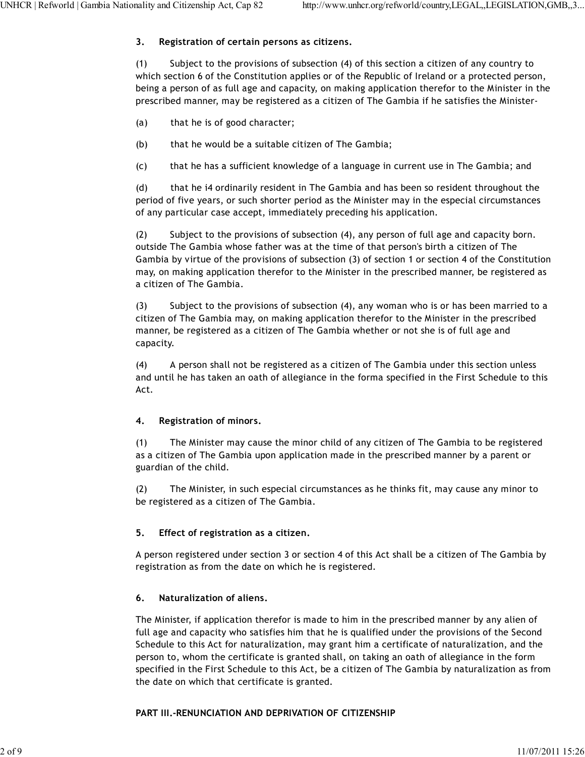# **3. Registration of certain persons as citizens.**

(1) Subject to the provisions of subsection (4) of this section a citizen of any country to which section 6 of the Constitution applies or of the Republic of Ireland or a protected person, being a person of as full age and capacity, on making application therefor to the Minister in the prescribed manner, may be registered as a citizen of The Gambia if he satisfies the Minister-

- (a) that he is of good character;
- (b) that he would be a suitable citizen of The Gambia;
- (c) that he has a sufficient knowledge of a language in current use in The Gambia; and

(d) that he i4 ordinarily resident in The Gambia and has been so resident throughout the period of five years, or such shorter period as the Minister may in the especial circumstances of any particular case accept, immediately preceding his application.

(2) Subject to the provisions of subsection (4), any person of full age and capacity born. outside The Gambia whose father was at the time of that person's birth a citizen of The Gambia by virtue of the provisions of subsection (3) of section 1 or section 4 of the Constitution may, on making application therefor to the Minister in the prescribed manner, be registered as a citizen of The Gambia.

(3) Subject to the provisions of subsection (4), any woman who is or has been married to a citizen of The Gambia may, on making application therefor to the Minister in the prescribed manner, be registered as a citizen of The Gambia whether or not she is of full age and capacity.

(4) A person shall not be registered as a citizen of The Gambia under this section unless and until he has taken an oath of allegiance in the forma specified in the First Schedule to this Act.

### **4. Registration of minors.**

(1) The Minister may cause the minor child of any citizen of The Gambia to be registered as a citizen of The Gambia upon application made in the prescribed manner by a parent or guardian of the child.

(2) The Minister, in such especial circumstances as he thinks fit, may cause any minor to be registered as a citizen of The Gambia.

# **5. Effect of registration as a citizen.**

A person registered under section 3 or section 4 of this Act shall be a citizen of The Gambia by registration as from the date on which he is registered.

### **6. Naturalization of aliens.**

The Minister, if application therefor is made to him in the prescribed manner by any alien of full age and capacity who satisfies him that he is qualified under the provisions of the Second Schedule to this Act for naturalization, may grant him a certificate of naturalization, and the person to, whom the certificate is granted shall, on taking an oath of allegiance in the form specified in the First Schedule to this Act, be a citizen of The Gambia by naturalization as from the date on which that certificate is granted.

### **PART III.-RENUNCIATION AND DEPRIVATION OF CITIZENSHIP**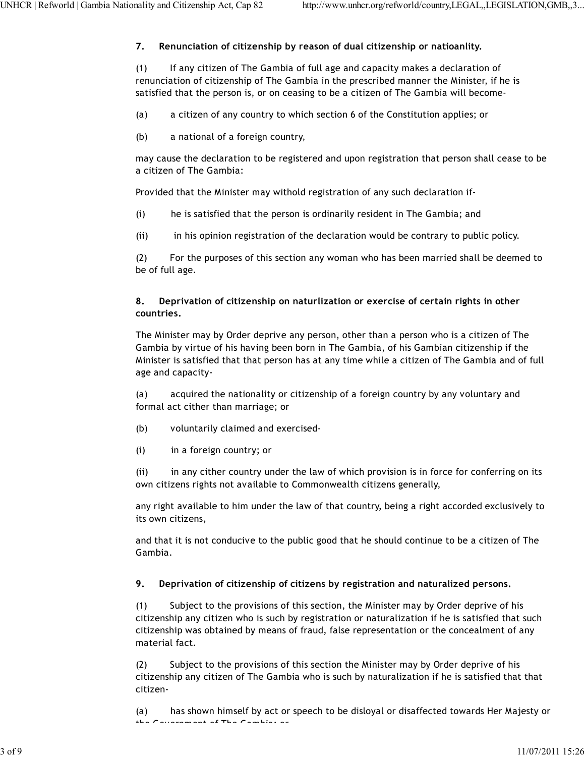# **7. Renunciation of citizenship by reason of dual citizenship or natioanlity.**

(1) If any citizen of The Gambia of full age and capacity makes a declaration of renunciation of citizenship of The Gambia in the prescribed manner the Minister, if he is satisfied that the person is, or on ceasing to be a citizen of The Gambia will become-

- (a) a citizen of any country to which section 6 of the Constitution applies; or
- (b) a national of a foreign country,

may cause the declaration to be registered and upon registration that person shall cease to be a citizen of The Gambia:

Provided that the Minister may withold registration of any such declaration if-

- (i) he is satisfied that the person is ordinarily resident in The Gambia; and
- (ii) in his opinion registration of the declaration would be contrary to public policy.

(2) For the purposes of this section any woman who has been married shall be deemed to be of full age.

### **8. Deprivation of citizenship on naturlization or exercise of certain rights in other countries.**

The Minister may by Order deprive any person, other than a person who is a citizen of The Gambia by virtue of his having been born in The Gambia, of his Gambian citizenship if the Minister is satisfied that that person has at any time while a citizen of The Gambia and of full age and capacity-

(a) acquired the nationality or citizenship of a foreign country by any voluntary and formal act cither than marriage; or

- (b) voluntarily claimed and exercised-
- (i) in a foreign country; or

(ii) in any cither country under the law of which provision is in force for conferring on its own citizens rights not available to Commonwealth citizens generally,

any right available to him under the law of that country, being a right accorded exclusively to its own citizens,

and that it is not conducive to the public good that he should continue to be a citizen of The Gambia.

# **9. Deprivation of citizenship of citizens by registration and naturalized persons.**

(1) Subject to the provisions of this section, the Minister may by Order deprive of his citizenship any citizen who is such by registration or naturalization if he is satisfied that such citizenship was obtained by means of fraud, false representation or the concealment of any material fact.

(2) Subject to the provisions of this section the Minister may by Order deprive of his citizenship any citizen of The Gambia who is such by naturalization if he is satisfied that that citizen-

(a) has shown himself by act or speech to be disloyal or disaffected towards Her Majesty or the Government of The Gambia; or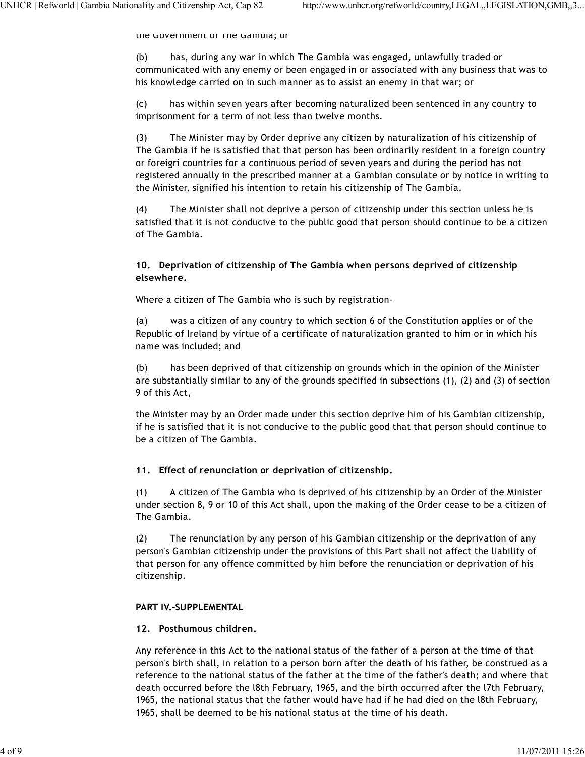the Government or The Gambia; or

(b) has, during any war in which The Gambia was engaged, unlawfully traded or communicated with any enemy or been engaged in or associated with any business that was to his knowledge carried on in such manner as to assist an enemy in that war; or

(c) has within seven years after becoming naturalized been sentenced in any country to imprisonment for a term of not less than twelve months.

(3) The Minister may by Order deprive any citizen by naturalization of his citizenship of The Gambia if he is satisfied that that person has been ordinarily resident in a foreign country or foreigri countries for a continuous period of seven years and during the period has not registered annually in the prescribed manner at a Gambian consulate or by notice in writing to the Minister, signified his intention to retain his citizenship of The Gambia.

(4) The Minister shall not deprive a person of citizenship under this section unless he is satisfied that it is not conducive to the public good that person should continue to be a citizen of The Gambia.

#### **10. Deprivation of citizenship of The Gambia when persons deprived of citizenship elsewhere.**

Where a citizen of The Gambia who is such by registration-

(a) was a citizen of any country to which section 6 of the Constitution applies or of the Republic of Ireland by virtue of a certificate of naturalization granted to him or in which his name was included; and

(b) has been deprived of that citizenship on grounds which in the opinion of the Minister are substantially similar to any of the grounds specified in subsections (1), (2) and (3) of section 9 of this Act,

the Minister may by an Order made under this section deprive him of his Gambian citizenship, if he is satisfied that it is not conducive to the public good that that person should continue to be a citizen of The Gambia.

### **11. Effect of renunciation or deprivation of citizenship.**

(1) A citizen of The Gambia who is deprived of his citizenship by an Order of the Minister under section 8, 9 or 10 of this Act shall, upon the making of the Order cease to be a citizen of The Gambia.

(2) The renunciation by any person of his Gambian citizenship or the deprivation of any person's Gambian citizenship under the provisions of this Part shall not affect the liability of that person for any offence committed by him before the renunciation or deprivation of his citizenship.

### **PART IV.-SUPPLEMENTAL**

### **12. Posthumous children.**

Any reference in this Act to the national status of the father of a person at the time of that person's birth shall, in relation to a person born after the death of his father, be construed as a reference to the national status of the father at the time of the father's death; and where that death occurred before the l8th February, 1965, and the birth occurred after the l7th February, 1965, the national status that the father would have had if he had died on the l8th February, 1965, shall be deemed to be his national status at the time of his death.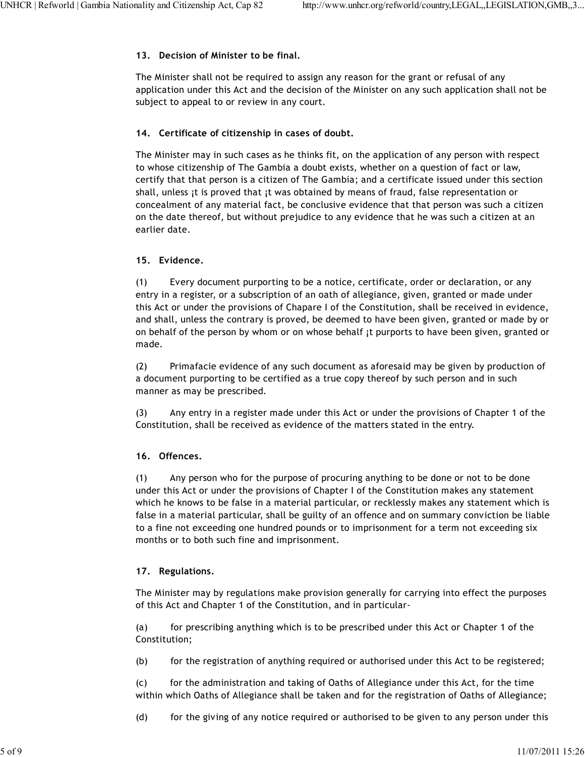### **13. Decision of Minister to be final.**

The Minister shall not be required to assign any reason for the grant or refusal of any application under this Act and the decision of the Minister on any such application shall not be subject to appeal to or review in any court.

### **14. Certificate of citizenship in cases of doubt.**

The Minister may in such cases as he thinks fit, on the application of any person with respect to whose citizenship of The Gambia a doubt exists, whether on a question of fact or law, certify that that person is a citizen of The Gambia; and a certificate issued under this section shall, unless ¡t is proved that ¡t was obtained by means of fraud, false representation or concealment of any material fact, be conclusive evidence that that person was such a citizen on the date thereof, but without prejudice to any evidence that he was such a citizen at an earlier date.

# **15. Evidence.**

(1) Every document purporting to be a notice, certificate, order or declaration, or any entry in a register, or a subscription of an oath of allegiance, given, granted or made under this Act or under the provisions of Chapare I of the Constitution, shall be received in evidence, and shall, unless the contrary is proved, be deemed to have been given, granted or made by or on behalf of the person by whom or on whose behalf ¡t purports to have been given, granted or made.

(2) Primafacie evidence of any such document as aforesaid may be given by production of a document purporting to be certified as a true copy thereof by such person and in such manner as may be prescribed.

(3) Any entry in a register made under this Act or under the provisions of Chapter 1 of the Constitution, shall be received as evidence of the matters stated in the entry.

# **16. Offences.**

(1) Any person who for the purpose of procuring anything to be done or not to be done under this Act or under the provisions of Chapter I of the Constitution makes any statement which he knows to be false in a material particular, or recklessly makes any statement which is false in a material particular, shall be guilty of an offence and on summary conviction be liable to a fine not exceeding one hundred pounds or to imprisonment for a term not exceeding six months or to both such fine and imprisonment.

# **17. Regulations.**

The Minister may by regulations make provision generally for carrying into effect the purposes of this Act and Chapter 1 of the Constitution, and in particular-

(a) for prescribing anything which is to be prescribed under this Act or Chapter 1 of the Constitution;

(b) for the registration of anything required or authorised under this Act to be registered;

(c) for the administration and taking of Oaths of Allegiance under this Act, for the time within which Oaths of Allegiance shall be taken and for the registration of Oaths of Allegiance;

(d) for the giving of any notice required or authorised to be given to any person under this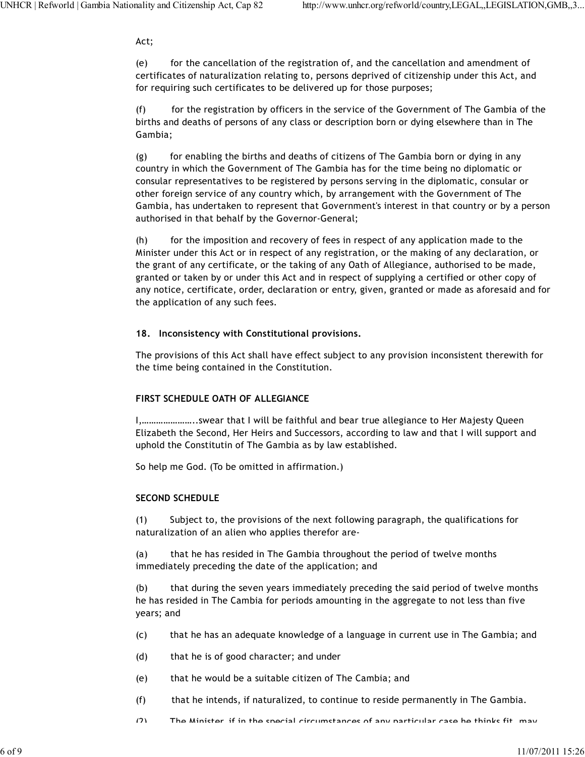#### Act;

(e) for the cancellation of the registration of, and the cancellation and amendment of certificates of naturalization relating to, persons deprived of citizenship under this Act, and for requiring such certificates to be delivered up for those purposes;

(f) for the registration by officers in the service of the Government of The Gambia of the births and deaths of persons of any class or description born or dying elsewhere than in The Gambia;

(g) for enabling the births and deaths of citizens of The Gambia born or dying in any country in which the Government of The Gambia has for the time being no diplomatic or consular representatives to be registered by persons serving in the diplomatic, consular or other foreign service of any country which, by arrangement with the Government of The Gambia, has undertaken to represent that Government's interest in that country or by a person authorised in that behalf by the Governor-General;

(h) for the imposition and recovery of fees in respect of any application made to the Minister under this Act or in respect of any registration, or the making of any declaration, or the grant of any certificate, or the taking of any Oath of Allegiance, authorised to be made, granted or taken by or under this Act and in respect of supplying a certified or other copy of any notice, certificate, order, declaration or entry, given, granted or made as aforesaid and for the application of any such fees.

#### **18. Inconsistency with Constitutional provisions.**

The provisions of this Act shall have effect subject to any provision inconsistent therewith for the time being contained in the Constitution.

### **FIRST SCHEDULE OATH OF ALLEGIANCE**

I,…………………..swear that I will be faithful and bear true allegiance to Her Majesty Queen Elizabeth the Second, Her Heirs and Successors, according to law and that I will support and uphold the Constitutin of The Gambia as by law established.

So help me God. (To be omitted in affirmation.)

### **SECOND SCHEDULE**

(1) Subject to, the provisions of the next following paragraph, the qualifications for naturalization of an alien who applies therefor are-

(a) that he has resided in The Gambia throughout the period of twelve months immediately preceding the date of the application; and

(b) that during the seven years immediately preceding the said period of twelve months he has resided in The Cambia for periods amounting in the aggregate to not less than five years; and

- (c) that he has an adequate knowledge of a language in current use in The Gambia; and
- (d) that he is of good character; and under
- (e) that he would be a suitable citizen of The Cambia; and
- (f) that he intends, if naturalized, to continue to reside permanently in The Gambia.
- $(2)$  The Minister, if in the special circumstances of any particular case he thinks fit, may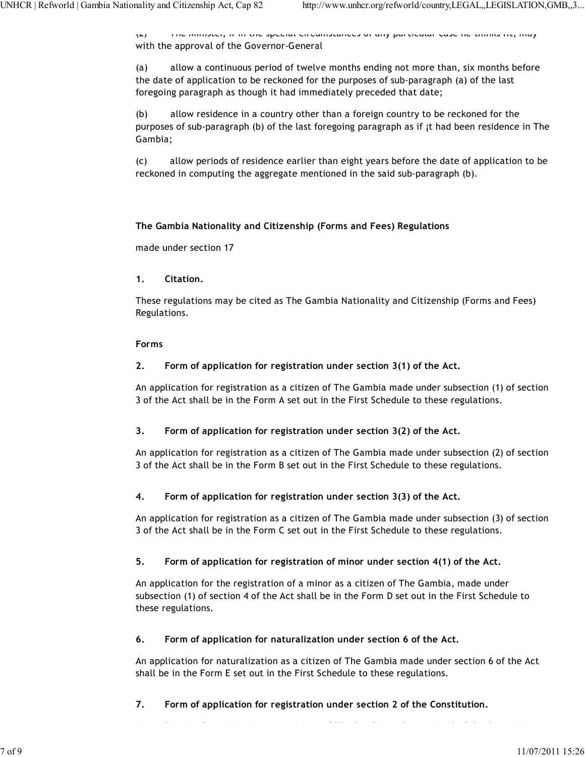(2) The Minister, if in the special circumstances of any particular case he thinks fit, may with the approval of the Governor-General

(a) allow a continuous period of twelve months ending not more than, six months before the date of application to be reckoned for the purposes of sub-paragraph (a) of the last foregoing paragraph as though it had immediately preceded that date;

(b) allow residence in a country other than a foreign country to be reckoned for the purposes of sub-paragraph (b) of the last foregoing paragraph as if ¡t had been residence in The Gambia;

(c) allow periods of residence earlier than eight years before the date of application to be reckoned in computing the aggregate mentioned in the said sub-paragraph (b).

# **The Gambia Nationality and Citizenship (Forms and Fees) Regulations**

made under section 17

# **1. Citation.**

These regulations may be cited as The Gambia Nationality and Citizenship (Forms and Fees) Regulations.

# **Forms**

# **2. Form of application for registration under section 3(1) of the Act.**

An application for registration as a citizen of The Gambia made under subsection (1) of section 3 of the Act shall be in the Form A set out in the First Schedule to these regulations.

# **3. Form of application for registration under section 3(2) of the Act.**

An application for registration as a citizen of The Gambia made under subsection (2) of section 3 of the Act shall be in the Form B set out in the First Schedule to these regulations.

# **4. Form of application for registration under section 3(3) of the Act.**

An application for registration as a citizen of The Gambia made under subsection (3) of section 3 of the Act shall be in the Form C set out in the First Schedule to these regulations.

# **5. Form of application for registration of minor under section 4(1) of the Act.**

An application for the registration of a minor as a citizen of The Gambia, made under subsection (1) of section 4 of the Act shall be in the Form D set out in the First Schedule to these regulations.

# **6. Form of application for naturalization under section 6 of the Act.**

An application for naturalization as a citizen of The Gambia made under section 6 of the Act shall be in the Form E set out in the First Schedule to these regulations.

**7. Form of application for registration under section 2 of the Constitution.**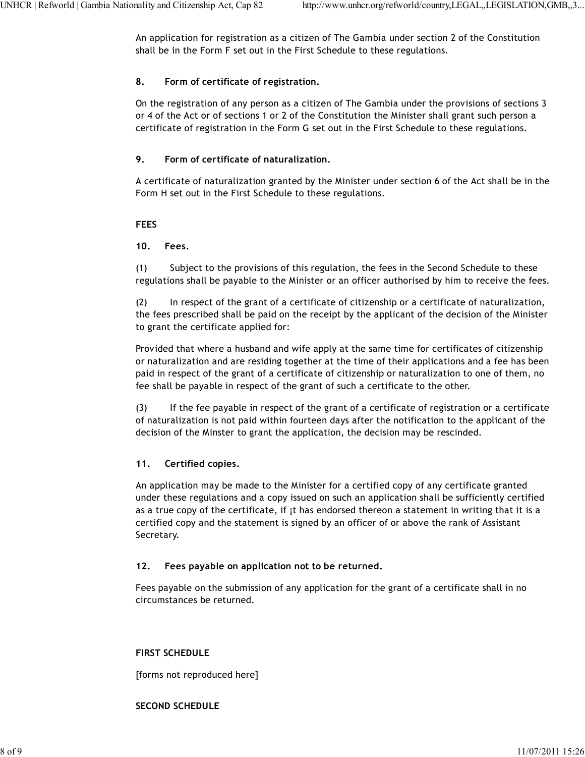An application for registration as a citizen of The Gambia under section 2 of the Constitution shall be in the Form F set out in the First Schedule to these regulations.

# **8. Form of certificate of registration.**

On the registration of any person as a citizen of The Gambia under the provisions of sections 3 or 4 of the Act or of sections 1 or 2 of the Constitution the Minister shall grant such person a certificate of registration in the Form G set out in the First Schedule to these regulations.

# **9. Form of certificate of naturalization.**

A certificate of naturalization granted by the Minister under section 6 of the Act shall be in the Form H set out in the First Schedule to these regulations.

# **FEES**

# **10. Fees.**

(1) Subject to the provisions of this regulation, the fees in the Second Schedule to these regulations shall be payable to the Minister or an officer authorised by him to receive the fees.

(2) In respect of the grant of a certificate of citizenship or a certificate of naturalization, the fees prescribed shall be paid on the receipt by the applicant of the decision of the Minister to grant the certificate applied for:

Provided that where a husband and wife apply at the same time for certificates of citizenship or naturalization and are residing together at the time of their applications and a fee has been paid in respect of the grant of a certificate of citizenship or naturalization to one of them, no fee shall be payable in respect of the grant of such a certificate to the other.

(3) If the fee payable in respect of the grant of a certificate of registration or a certificate of naturalization is not paid within fourteen days after the notification to the applicant of the decision of the Minster to grant the application, the decision may be rescinded.

# **11. Certified copies.**

An application may be made to the Minister for a certified copy of any certificate granted under these regulations and a copy issued on such an application shall be sufficiently certified as a true copy of the certificate, if it has endorsed thereon a statement in writing that it is a certified copy and the statement is signed by an officer of or above the rank of Assistant Secretary.

### **12. Fees payable on application not to be returned.**

Fees payable on the submission of any application for the grant of a certificate shall in no circumstances be returned.

### **FIRST SCHEDULE**

[forms not reproduced here]

### **SECOND SCHEDULE**